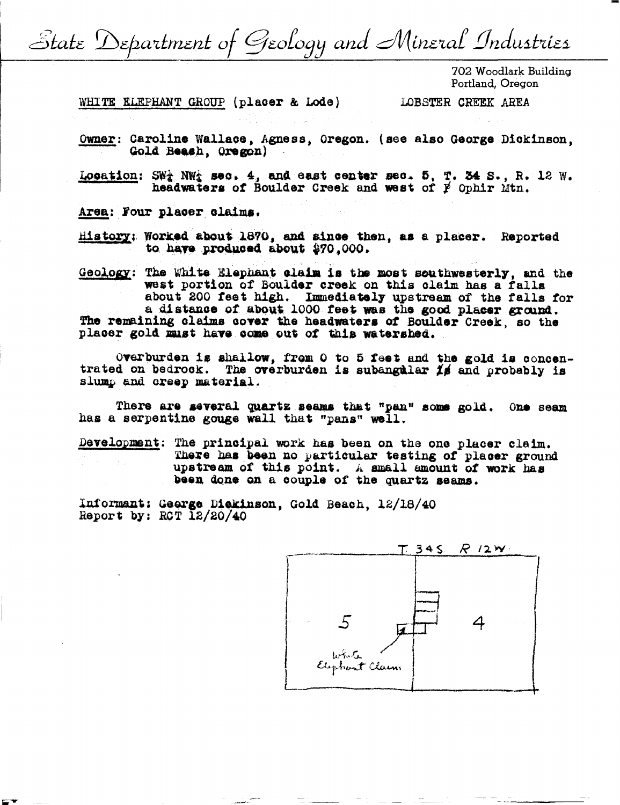State Department of Geology and Mineral Industries

702 Woodlark Building Portland, Oregon

WHITE ELEPHANT GROUP (placer & Lode)

LOBSTER CREEK AREA

Owner: Caroline Wallace, Agness, Oregon. (see also George Dickinson. Gold Beash, Oregon)

Location:  $SW_4^+$  NW<sub>3</sub> sec. 4, and east center sec. 5, T. 34 S., R. 12 W.<br>headwaters of Boulder Creek and west of  $\cancel{p}$  Ophir Mtn.

Area: Four placer claims.

History: Worked about 1870, and since then, as a placer. Reported to have produced about \$70,000.

Geology: The White Elephant claim is the most southwesterly, and the west portion of Boulder creek on this claim has a falls about 200 feet high. Immediately upstream of the falls for a distance of about 1000 feet was the good placer ground. The remaining claims cover the headwaters of Boulder Creek, so the placer gold must have come out of this watershed.

Overburden is shallow, from 0 to 5 feet and the gold is concentrated on bedrook. The overburden is subangular  $1/6$  and probably is slump and creep material.

There are several quartz seams that "pan" some gold. One seam has a serpentine gouge wall that "pans" well.

Development: The principal work has been on the one placer claim. There has been no particular testing of placer ground upstream of this point. A small amount of work has been done on a couple of the quartz seams.

Informant: George Dickinson, Gold Beach, 12/18/40 Report by: RCT  $\overline{12}/20/\overline{40}$ 

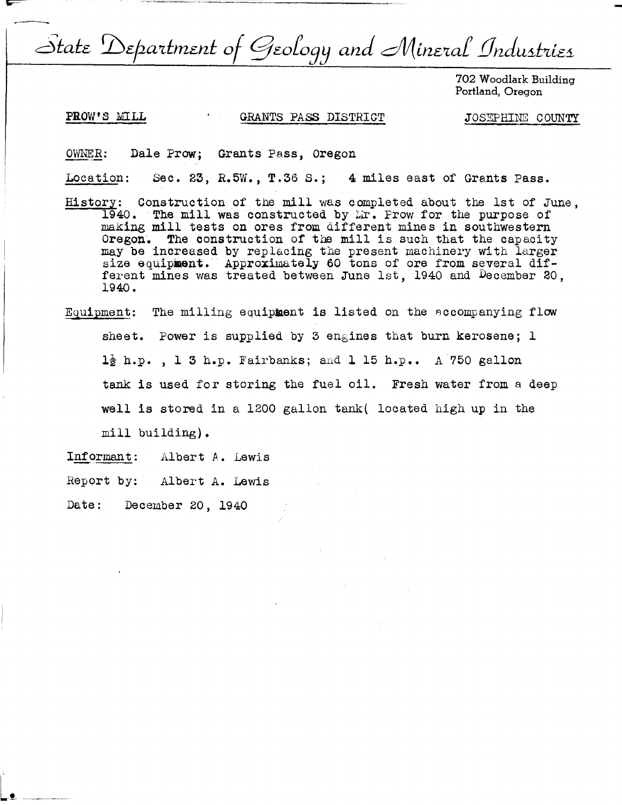State Department of Geology and Mineral Industries

702 Woodlark Building Portland, Oregon

 $-$ 

## PROW'S MILL GRANTS PASS DISTRICT

JOSEPHINE COUNTY

OWNER: Dale Prow; Grants Pass, Oregon

Location: Sec. 23, R.5W., T.36 s.; 4 miles east of Grants Pass.

- History: Construction of the mill was completed about the 1st of June, 1940. The mill was constructed by Mr. Prow for the purpose of making mill tests on ores from different mines in southwestern Oregon. The construction of the mill is such that the capacity may be increased by replacing the present machinery with larger size equipment. Approximately 60 tons of ore from several different mines was treated between June 1st, 1940 and December 20, 1940.
- Equipment: The milling equipment is listed on the Accompanying flow sheet. Power is supplied by 3 engines that burn kerosene; 1 **l½** h.p. , l 3 h.p. ]'airbanks; and **l** 15 h.p.. A 750 gallon tank is used for storing the fuel oil. Fresh water from a deep well is stored in a 1200 gallon tank( located high up in the mill building).
- Informant: Albert A. Lewis
- Report by: Albert A. Lewis

Date: December 20, 1940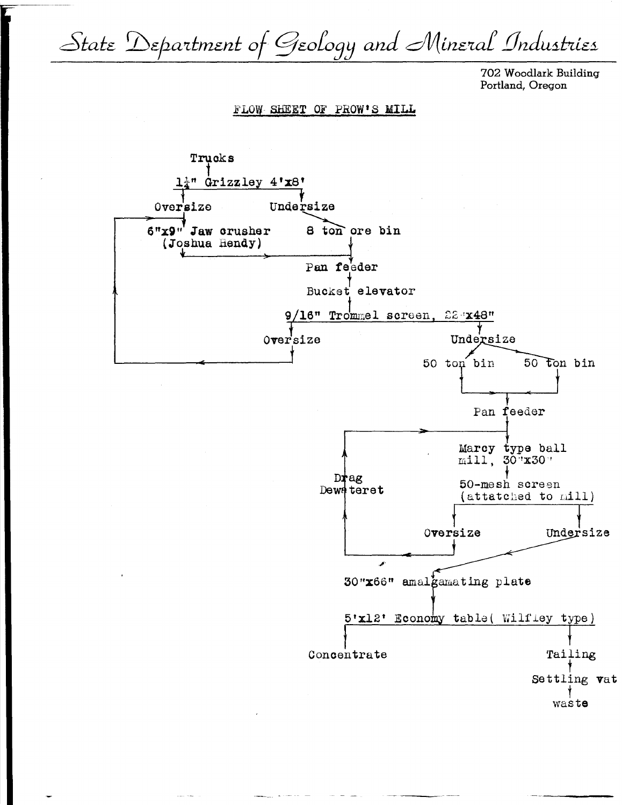State Department of Geology and Mineral Industries

702 Woodlark Building Portland, Oregon

FLOW SHEET OF PROW'S MILL

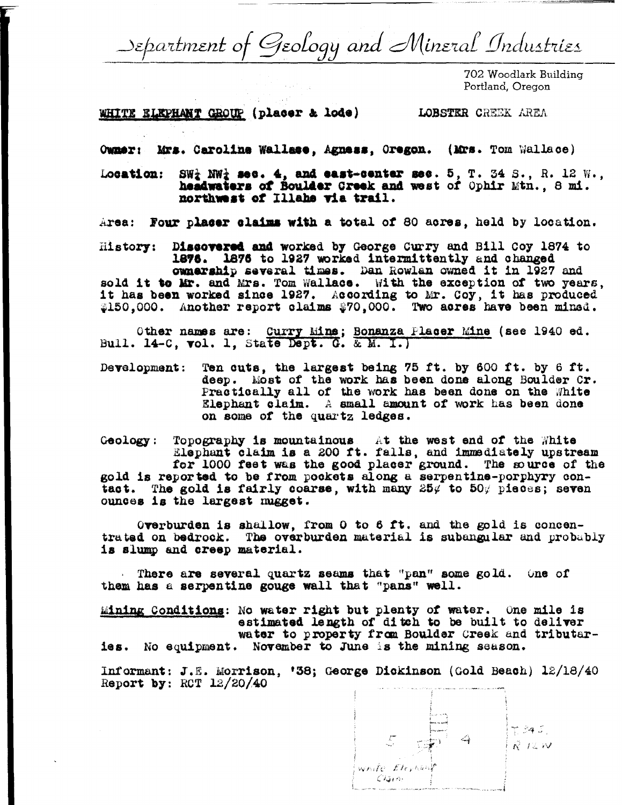Department of Geology and Mineral Industries

702 Woodlark Building Portland, Oregon

WHITE ELEPHANT GROUP (placer & lode) LOBSTER CREEK AREA

Owner: Mrs. Caroline Wallace, Agness, Oregon. (Mrs. Tom Wallace)

SW<sub>2</sub> NW<sub>2</sub> sec. 4, and east-center sec. 5, T. 34 S., R. 12 W., Location: headwaters of Boulder Creek and west of Ophir Mtn., 8 mi. northwest of Illahe via trail.

Area: Four placer claims with a total of 80 acres, held by location.

Discovered and worked by George Curry and Bill Coy 1874 to History: 1876. 1876 to 1927 worked intermittently and changed ownership several times. Dan Rowlan owned it in 1927 and sold it to Mr. and Mrs. Tom Wallace. With the exception of two years, it has been worked since 1927. According to Mr. Coy, it has produced \$150,000. Another report claims \$70,000. Two acres have been minsd.

Other names are: Curry Mine; Bonanza Placer Mine (see 1940 ed. Bull. 14-C, vol. 1, State Dept. G. & M. I.)

Ten cuts, the largest being 75 ft. by 600 ft. by 6 ft. Development: deep. Most of the work has been done along Boulder Cr.<br>Practically all of the work has been done on the White<br>Elephant claim. A small amount of work has been done on some of the quartz ledges.

Geology: Topography is mountainous. At the west end of the White<br>Elephant claim is a 200 ft. falls, and immediately upstream for 1000 feet was the good placer ground. The source of the gold is reported to be from pockets along a serpentine-porphyry contact. The gold is fairly coarse, with many  $25\%$  to  $50\%$  pieces; seven ounces is the largest mugget.

Overburden is shallow, from 0 to 6 ft. and the gold is concentrated on bedrock. The overburden material is subangular and probably is slump and creep material.

. There are several quartz seams that "pan" some gold. One of them has a serpentine gouge wall that "pans" well.

Mining Conditions: No water right but plenty of water. One mile is estimated length of ditch to be built to deliver water to property from Boulder Creek and tributaries. No equipment. November to June is the mining season.

Informant: J.E. Morrison, '38; George Dickinson (Gold Beach) 12/18/40 Report by:  $\text{RCT}$  12/20/40

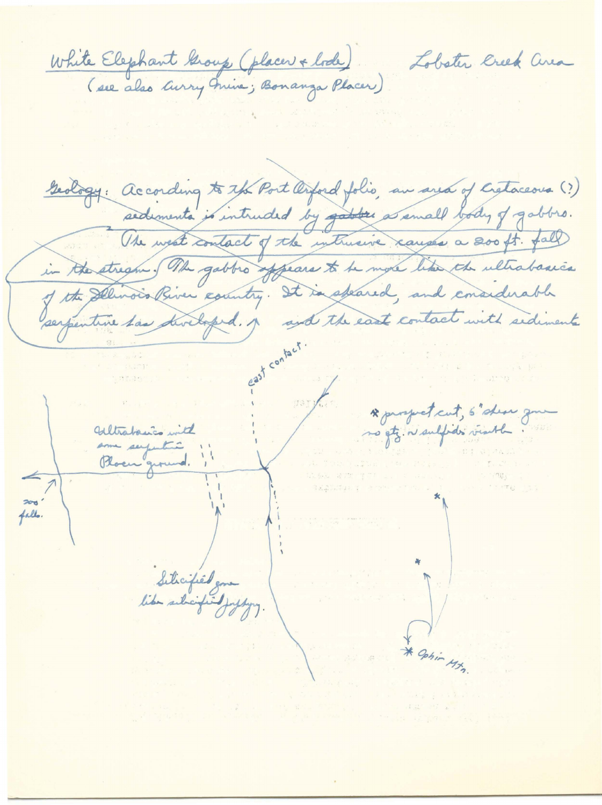White Elephant Group (placer + bode)

Geology: according to the Port Orford folio, an area of Cretaceous (?) sedements is intruded by gather as small body of gabbro. Use west contact of the inthusive causes a 200 ft. fall in the stright of the gabbio appears to be more like the ultrabasics of the Delivoir Priver country. It is spared, and considerable \* prospect cut, 5 show gm Withabasics with no gtz. n/ sulpdis visible. falls. Siticified gone

Lobster Creek area